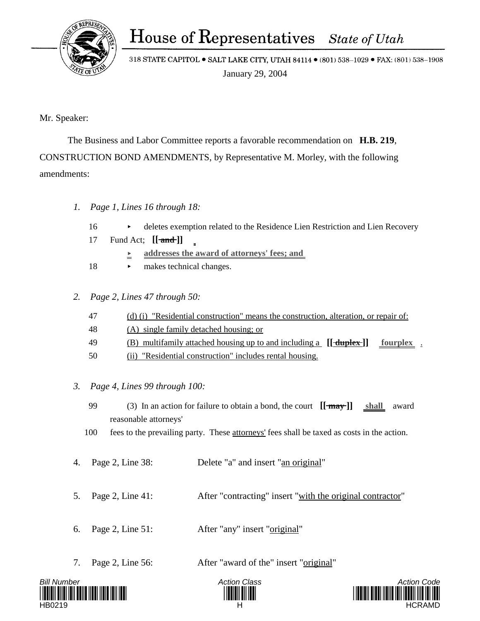House of Representatives State of Utah

318 STATE CAPITOL . SALT LAKE CITY, UTAH 84114 . (801) 538-1029 . FAX: (801) 538-1908 January 29, 2004

Mr. Speaker:

 The Business and Labor Committee reports a favorable recommendation on **H.B. 219**, CONSTRUCTION BOND AMENDMENTS, by Representative M. Morley, with the following amendments:

- *1. Page 1, Lines 16 through 18:*
	- 16 deletes exemption related to the Residence Lien Restriction and Lien Recovery
	- 17 Fund Act; **[[ and ]]**
		- **<u>E**</u> <u>addresses the award of attorneys' fees; and</u>
	- 18 makes technical changes.
- *2. Page 2, Lines 47 through 50:*
	- 47 (d) (i) "Residential construction" means the construction, alteration, or repair of:
	- 48 (A) single family detached housing; or
	- 49 (B) multifamily attached housing up to and including a **[[ duplex ]] fourplex** .
	- 50 (ii) "Residential construction" includes rental housing.
- *3. Page 4, Lines 99 through 100:*
	- 99 (3) In an action for failure to obtain a bond, the court **[[ may ]] shall** award reasonable attorneys'
	- 100 fees to the prevailing party. These attorneys' fees shall be taxed as costs in the action.
- 4. Page 2, Line 38: Delete "a" and insert "an original"
- 5. Page 2, Line 41: After "contracting" insert "with the original contractor"
- 6. Page 2, Line 51: After "any" insert "original"
- 7. Page 2, Line 56: After "award of the" insert "original"